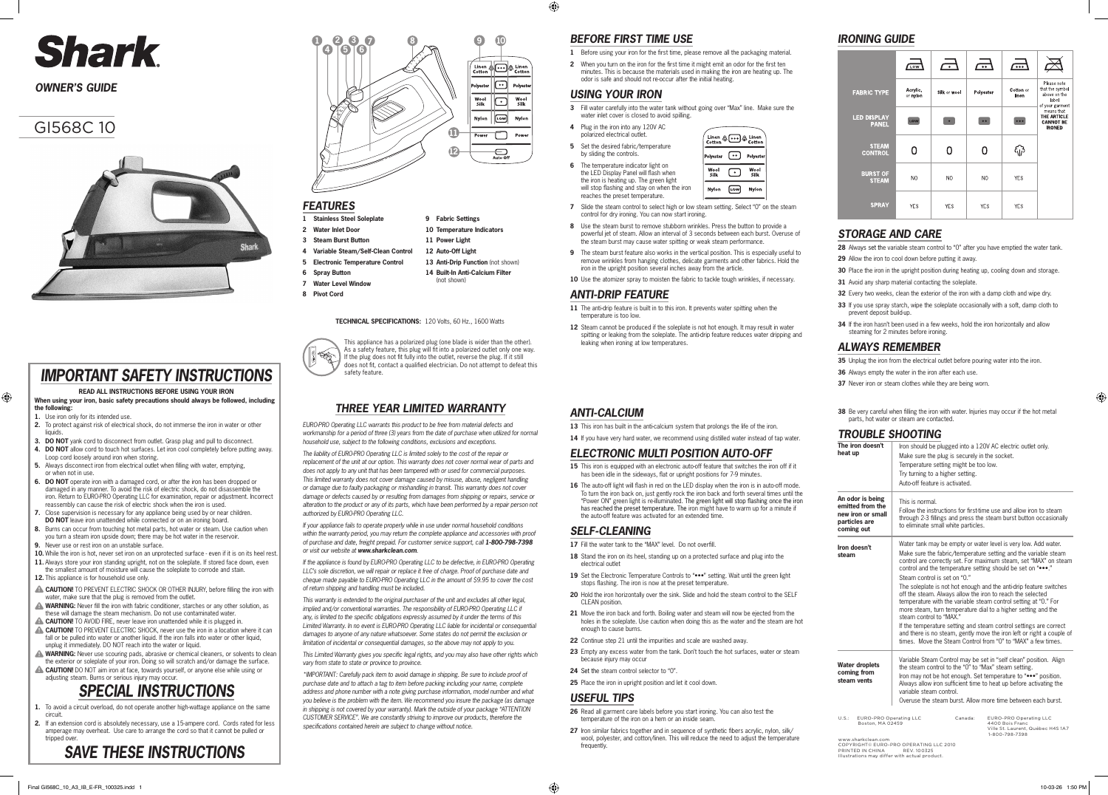## GI568C 10



#### **TECHNICAL SPECIFICATIONS:** 120 Volts, 60 Hz., 1600 Watts



# Shark

## *OWNER'S GUIDE*

- **1 Stainless Steel Soleplate**
- **2 Water Inlet Door 3 Steam Burst Button**
- **4 Variable Steam/Self-Clean Control**
- **5 Electronic Temperature Control**
- **6 Spray Button**
- 
- **7 Water Level Window**
- **8 Pivot Cord**
- 

13 Anti-Drip Function (not shown) **14 Built-In Anti-Calcium Filter**

**9 Fabric Settings 10 Temperature Indicators** 

**11 Power Light 12 Auto-Off Light**

(not shown)

## *BEFORE FIRST TIME USE*

- **1** Before using your iron for the first time, please remove all the packaging material.
- **2** When you turn on the iron for the first time it might emit an odor for the first ten minutes. This is because the materials used in making the iron are heating up. The odor is safe and should not re-occur after the initial heating.

- **5** Set the desired fabric/temperature by sliding the controls.
- The temperature indicator light on the LED Display Panel will flash when the iron is heating up. The green light will stop flashing and stay on when the iron reaches the preset temperature.

| Linen &  & Linen<br>Cotton |     |              |
|----------------------------|-----|--------------|
| Polyester                  |     | Polyester    |
| Wool<br>Silk               |     | Wool<br>Silk |
| Nylon                      | LOW | Nylon        |

- **7** Slide the steam control to select high or low steam setting. Select "0" on the steam control for dry ironing. You can now start ironing.
- **8** Use the steam burst to remove stubborn wrinkles. Press the button to provide a powerful jet of steam. Allow an interval of 3 seconds between each burst. Overuse of the steam burst may cause water spitting or weak steam performance.
- **9** The steam burst feature also works in the vertical position. This is especially useful to remove wrinkles from hanging clothes, delicate garments and other fabrics. Hold the iron in the upright position several inches away from the article.
- 10 Use the atomizer spray to moisten the fabric to tackle tough wrinkles, if necessary.

#### *USING YOUR IRON*

- **3** Fill water carefully into the water tank without going over "Max" line. Make sure the water inlet cover is closed to avoid spilling.
- **4** Plug in the iron into any 120V AC polarized electrical outlet.

 $\bigoplus$ 

#### *ANTI-DRIP FEATURE*

- **26** Read all garment care labels before you start ironing. You can also test the temperature of the iron on a hem or an inside seam.
- 27 Iron similar fabrics together and in sequence of synthetic fibers acrylic, nylon, silk/ wool, polyester, and cotton/linen. This will reduce the need to adjust the temperature **frequently**
- **11** The anti-drip feature is built in to this iron. It prevents water spitting when the temperature is too low.
- 12 Steam cannot be produced if the soleplate is not hot enough. It may result in water spitting or leaking from the soleplate. The anti-drip feature reduces water dripping and leaking when ironing at low temperatures.

#### *ANTI-CALCIUM*

13 This iron has built in the anti-calcium system that prolongs the life of the iron.

14 If you have very hard water, we recommend using distilled water instead of tap water.

#### *ELECTRONIC MULTI POSITION AUTO-OFF*

- **35** Unplug the iron from the electrical outlet before pouring water into the iron.
- **36** Always empty the water in the iron after each use.
- **37** Never iron or steam clothes while they are being worn.
- **38** Be very careful when filling the iron with water. Injuries may occur if the hot metal parts, hot water or steam are contacted.

- **15** This iron is equipped with an electronic auto-off feature that switches the iron off if it has been idle in the sideways, flat or upright positions for 7-9 minutes.
- **16** The auto-off light will flash in red on the LED display when the iron is in auto-off mode. To turn the iron back on, just gently rock the iron back and forth several times until the "Power ON" green light is re-illuminated. The green light will stop flashing once the iron has reached the preset temperature. The iron might have to warm up for a minute if the auto-off feature was activated for an extended time.

#### *SELF-CLEANING*

- 17 Fill the water tank to the "MAX" level. Do not overfill.
- **18** Stand the iron on its heel, standing up on a protected surface and plug into the electrical outlet
- 19 Set the Electronic Temperature Controls to "•••" setting. Wait until the green light stops flashing. The iron is now at the preset temperature.
- **20** Hold the iron horizontally over the sink. Slide and hold the steam control to the SELF CLEAN position.
- **21** Move the iron back and forth. Boiling water and steam will now be ejected from the holes in the soleplate. Use caution when doing this as the water and the steam are hot enough to cause burns.
- **22** Continue step 21 until the impurities and scale are washed away.
- **23** Empty any excess water from the tank. Don't touch the hot surfaces, water or steam because injury may occul
- 24 Set the steam control selector to "0".
- **25** Place the iron in upright position and let it cool down.

#### *USEFUL TIPS*

## *IRONING GUIDE*

|                                    | LOW                  | $\overline{\phantom{a}}$ | $\bullet\bullet$ | $\overline{\cdots}$ |                                                                            |
|------------------------------------|----------------------|--------------------------|------------------|---------------------|----------------------------------------------------------------------------|
| <b>FABRIC TYPE</b>                 | Acrylic,<br>or nylon | Silk or wool             | Polyester        | Cotton or<br>linen  | Please note<br>that the symbol<br>above on the<br>label<br>of your garment |
| <b>LED DISPLAY</b><br><b>PANEL</b> | LOW                  |                          | $\bullet$        | • • •               | means that<br>THE ARTICLE<br><b>CANNOT BE</b><br><b>IRONED</b>             |
| <b>STEAM</b><br><b>CONTROL</b>     |                      |                          |                  |                     |                                                                            |
| <b>BURST OF</b><br><b>STEAM</b>    | N <sub>O</sub>       | NO.                      | N <sub>O</sub>   | <b>YES</b>          |                                                                            |
| <b>SPRAY</b>                       | <b>YES</b>           | <b>YES</b>               | <b>YES</b>       | <b>YES</b>          |                                                                            |

## *FEATURES*

## *STORAGE AND CARE*

- **28** Always set the variable steam control to "0" after you have emptied the water tank.
- **29** Allow the iron to cool down before putting it away.
- **30** Place the iron in the upright position during heating up, cooling down and storage.
- **31** Avoid any sharp material contacting the soleplate
- **32** Every two weeks, clean the exterior of the iron with a damp cloth and wipe dry.
- **33** If you use spray starch, wipe the soleplate occasionally with a soft, damp cloth to prevent deposit build-up.
- **34** If the iron hasn't been used in a few weeks, hold the iron horizontally and allow steaming for 2 minutes before ironing.

### *ALWAYS REMEMBER*

## *TROUBLE SHOOTING*

This appliance has a polarized plug (one blade is wider than the other). As a safety feature, this plug will fit into a polarized outlet only one way. If the plug does not fit fully into the outlet, reverse the plug. If it still does not fit, contact a qualified electrician. Do not attempt to defeat this safety feature.

- **1.** To avoid a circuit overload, do not operate another high-wattage appliance on the same circuit.
- **2.** If an extension cord is absolutely necessary, use a 15-ampere cord. Cords rated for less amperage may overheat. Use care to arrange the cord so that it cannot be pulled or tripped over



| The iron doesn't<br>heat up                                                              | Iron should be plugged into a 120V AC electric outlet only.<br>Make sure the plug is securely in the socket.<br>Temperature setting might be too low.<br>Try turning to a higher setting.<br>Auto-off feature is activated.                                                                                                                                                                                                                                                                                                                                                                                                                                                                                                                                                                                       |
|------------------------------------------------------------------------------------------|-------------------------------------------------------------------------------------------------------------------------------------------------------------------------------------------------------------------------------------------------------------------------------------------------------------------------------------------------------------------------------------------------------------------------------------------------------------------------------------------------------------------------------------------------------------------------------------------------------------------------------------------------------------------------------------------------------------------------------------------------------------------------------------------------------------------|
| An odor is being<br>emitted from the<br>new iron or small<br>particles are<br>coming out | This is normal.<br>Follow the instructions for first-time use and allow iron to steam<br>through 2-3 fillings and press the steam burst button occasionally<br>to eliminate small white particles.                                                                                                                                                                                                                                                                                                                                                                                                                                                                                                                                                                                                                |
| Iron doesn't<br>steam                                                                    | Water tank may be empty or water level is very low. Add water.<br>Make sure the fabric/temperature setting and the variable steam<br>control are correctly set. For maximum steam, set "MAX" on steam<br>control and the temperature setting should be set on ""<br>Steam control is set on "0."<br>The soleplate is not hot enough and the anti-drip feature switches<br>off the steam. Always allow the iron to reach the selected<br>temperature with the variable steam control setting at "0." For<br>more steam, turn temperature dial to a higher setting and the<br>steam control to "MAX."<br>If the temperature setting and steam control settings are correct<br>and there is no steam, gently move the iron left or right a couple of<br>times. Move the Steam Control from "0" to "MAX" a few times. |
| <b>Water droplets</b><br>coming from<br>steam vents                                      | Variable Steam Control may be set in "self clean" position. Align<br>the steam control to the "0" to "Max" steam setting.<br>Iron may not be hot enough. Set temperature to " "position.<br>Always allow iron sufficient time to heat up before activating the<br>variable steam control.<br>Overuse the steam burst. Allow more time between each burst.                                                                                                                                                                                                                                                                                                                                                                                                                                                         |

# *SAVE THESE INSTRUCTIONS*

## *THREE YEAR LIMITED WARRANTY*

*EURO-PRO Operating LLC warrants this product to be free from material defects and workmanship for a period of three (3) years from the date of purchase when utilized for normal household use, subject to the following conditions, exclusions and exceptions.*

*The liability of EURO-PRO Operating LLC is limited solely to the cost of the repair or replacement of the unit at our option. This warranty does not cover normal wear of parts and does not apply to any unit that has been tampered with or used for commercial purposes. This limited warranty does not cover damage caused by misuse, abuse, negligent handling or damage due to faulty packaging or mishandling in transit. This warranty does not cover damage or defects caused by or resulting from damages from shipping or repairs, service or alteration to the product or any of its parts, which have been performed by a repair person not authorized by EURO-PRO Operating LLC.*

*If your appliance fails to operate properly while in use under normal household conditions*  within the warranty period, you may return the complete appliance and accessories with proof of purchase and date, freight prepaid. For customer service support, call 1-800-798-7398 *or visit our website at www.sharkclean.com.*

*If the appliance is found by EURO-PRO Operating LLC to be defective, in EURO-PRO Operating LLC's sole discretion, we will repair or replace it free of charge. Proof of purchase date and cheque made payable to EURO-PRO Operating LLC in the amount of \$9.95 to cover the cost of return shipping and handling must be included.*

*This warranty is extended to the original purchaser of the unit and excludes all other legal, implied and/or conventional warranties. The responsibility of EURO-PRO Operating LLC if any, is limited to the specific obligations expressly assumed by it under the terms of this Limited Warranty. In no event is EURO-PRO Operating LLC liable for incidental or consequential damages to anyone of any nature whatsoever. Some states do not permit the exclusion or limitation of incidental or consequential damages, so the above may not apply to you.*

*This Limited Warranty gives you specific legal rights, and you may also have other rights which vary from state to state or province to province.* 

*\*IMPORTANT: Carefully pack item to avoid damage in shipping. Be sure to include proof of purchase date and to attach a tag to item before packing including your name, complete address and phone number with a note giving purchase information, model number and what you believe is the problem with the item. We recommend you insure the package (as damage in shipping is not covered by your warranty). Mark the outside of your package "ATTENTION CUSTOMER SERVICE". We are constantly striving to improve our products, therefore the specifications contained herein are subject to change without notice.*

# *SPECIAL INSTRUCTIONS*

- **2.** To protect against risk of electrical shock, do not immerse the iron in water or other liquids.
- **3. DO NOT** yank cord to disconnect from outlet. Grasp plug and pull to disconnect.
- **4. DO NOT** allow cord to touch hot surfaces. Let iron cool completely before putting away. Loop cord loosely around iron when storing.
- **5.** Always disconnect iron from electrical outlet when filling with water, emptying, or when not in use.
- **6. DO NOT** operate iron with a damaged cord, or after the iron has been dropped or damaged in any manner. To avoid the risk of electric shock, do not disassemble the iron. Return to EURO-PRO Operating LLC for examination, repair or adjustment. Incorrect reassembly can cause the risk of electric shock when the iron is used.
- **7.** Close supervision is necessary for any appliance being used by or near children. **DO NOT** leave iron unattended while connected or on an ironing board.
- **8.** Burns can occur from touching hot metal parts, hot water or steam. Use caution when you turn a steam iron upside down; there may be hot water in the reservoir. **9.** Never use or rest iron on an unstable surface.
- 10. While the iron is hot, never set iron on an unprotected surface even if it is on its heel rest.
- 11. Always store your iron standing upright, not on the soleplate. If stored face down, even
- the smallest amount of moisture will cause the soleplate to corrode and stain. **12.** This appliance is for household use only.
- **CAUTION!** TO PREVENT ELECTRIC SHOCK OR OTHER INJURY, before filling the iron with water, make sure that the plug is removed from the outlet.
- WARNING: Never fill the iron with fabric conditioner, starches or any other solution, as these will damage the steam mechanism. Do not use contaminated water.
- **CAUTION!** TO AVOID FIRE, never leave iron unattended while it is plugged in.
- **CAUTION!** TO PREVENT ELECTRIC SHOCK, never use the iron in a location where it can fall or be pulled into water or another liquid. If the iron falls into water or other liquid, unplug it immediately. DO NOT reach into the water or liquid.
- WARNING: Never use scouring pads, abrasive or chemical cleaners, or solvents to clean the exterior or soleplate of your iron. Doing so will scratch and/or damage the surface.
- **CAUTION!** DO NOT aim iron at face, towards yourself, or anyone else while using or adjusting steam. Burns or serious injury may occur.

## *IMPORTANT SAFETY INSTRUCTIONS*

#### **READ ALL INSTRUCTIONS BEFORE USING YOUR IRON**

**When using your iron, basic safety precautions should always be followed, including the following:**

**1.** Use iron only for its intended use.

⊕

U.S.: EURO-PRO Operating LLC Canada: EURO-PRO Operating LLC Boston, MA 02459 4400 Bois Franc

Ville St. Laurent, Québec H4S 1A7 1-800-798-7398

www.sharkclean.com COPYRIGHT© EURO-PRO OPERATING LLC 2010 PRINTED IN CHINA REV. 100325 Illustrations may differ with actual product.

⊕